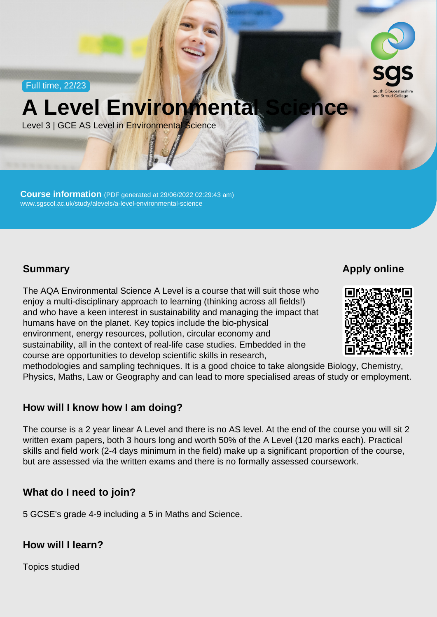Full time, 22/23

## A Level Environmental Science

Level 3 | GCE AS Level in Environmental Science

Course information (PDF generated at 29/06/2022 02:29:43 am) [www.sgscol.ac.uk/study/alevels/a-level-environmental-science](https://www.sgscol.ac.uk/study/alevels/a-level-environmental-science)

**Summary** 

Apply online

The AQA Environmental Science A Level is a course that will suit those who enjoy a multi-disciplinary approach to learning (thinking across all fields!) and who have a keen interest in sustainability and managing the impact that humans have on the planet. Key topics include the bio-physical environment, energy resources, pollution, circular economy and sustainability, all in the context of real-life case studies. Embedded in the course are opportunities to develop scientific skills in research, methodologies and sampling techniques. It is a good choice to take alongside Biology, Chemistry, Physics, Maths, Law or Geography and can lead to more specialised areas of study or employment.

How will I know how I am doing?

The course is a 2 year linear A Level and there is no AS level. At the end of the course you will sit 2 written exam papers, both 3 hours long and worth 50% of the A Level (120 marks each). Practical skills and field work (2-4 days minimum in the field) make up a significant proportion of the course, but are assessed via the written exams and there is no formally assessed coursework.

What do I need to join?

5 GCSE's grade 4-9 including a 5 in Maths and Science.

How will I learn?

Topics studied